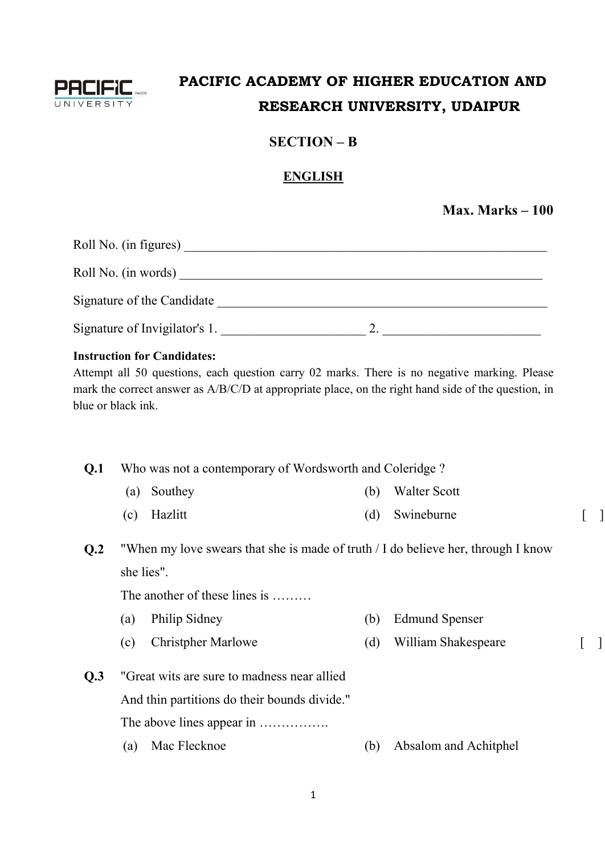

# **PACIFIC ACADEMY OF HIGHER EDUCATION AND RESEARCH UNIVERSITY, UDAIPUR**

## **SECTION – B**

### **ENGLISH**

**Max. Marks – 100**

| Roll No. (in figures)         |  |
|-------------------------------|--|
| Roll No. (in words)           |  |
| Signature of the Candidate    |  |
| Signature of Invigilator's 1. |  |

### **Instruction for Candidates:**

Attempt all 50 questions, each question carry 02 marks. There is no negative marking. Please mark the correct answer as A/B/C/D at appropriate place, on the right hand side of the question, in blue or black ink.

### **Q.1** Who was not a contemporary of Wordsworth and Coleridge ?

- (a) Southey (b) Walter Scott
- (c) Hazlitt (d) Swineburne [ ]
- **Q.2** "When my love swears that she is made of truth / I do believe her, through I know she lies".

The another of these lines is ........

- (a) Philip Sidney (b) Edmund Spenser
- (c) Christpher Marlowe (d) William Shakespeare [ ]
- **Q.3** "Great wits are sure to madness near allied And thin partitions do their bounds divide." The above lines appear in .................. (a) Mac Flecknoe (b) Absalom and Achitphel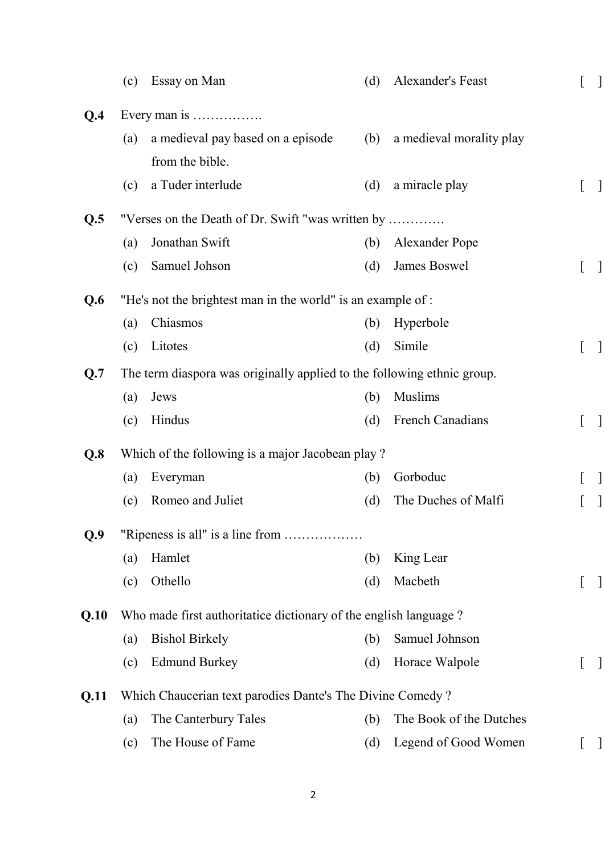|      | (c) | Essay on Man                                                            | (d) | Alexander's Feast        | 1            |
|------|-----|-------------------------------------------------------------------------|-----|--------------------------|--------------|
| Q.4  |     | Every man is                                                            |     |                          |              |
|      | (a) | a medieval pay based on a episode                                       | (b) | a medieval morality play |              |
|      |     | from the bible.                                                         |     |                          |              |
|      | (c) | a Tuder interlude                                                       | (d) | a miracle play           |              |
| Q.5  |     | "Verses on the Death of Dr. Swift "was written by                       |     |                          |              |
|      | (a) | Jonathan Swift                                                          | (b) | <b>Alexander Pope</b>    |              |
|      | (c) | Samuel Johson                                                           | (d) | James Boswel             | $\mathbf{I}$ |
| Q.6  |     | "He's not the brightest man in the world" is an example of :            |     |                          |              |
|      | (a) | Chiasmos                                                                | (b) | Hyperbole                |              |
|      | (c) | Litotes                                                                 | (d) | Simile                   | $\mathbf{I}$ |
| Q.7  |     | The term diaspora was originally applied to the following ethnic group. |     |                          |              |
|      | (a) | Jews                                                                    | (b) | <b>Muslims</b>           |              |
|      | (c) | Hindus                                                                  | (d) | French Canadians         | $\mathbf{I}$ |
| Q.8  |     | Which of the following is a major Jacobean play?                        |     |                          |              |
|      | (a) | Everyman                                                                | (b) | Gorboduc                 |              |
|      | (c) | Romeo and Juliet                                                        | (d) | The Duches of Malfi      | $\perp$      |
| Q.9  |     | "Ripeness is all" is a line from                                        |     |                          |              |
|      | (a) | Hamlet                                                                  | (b) | King Lear                |              |
|      | (c) | Othello                                                                 | (d) | Macbeth                  |              |
| Q.10 |     | Who made first authoritatice dictionary of the english language?        |     |                          |              |
|      | (a) | <b>Bishol Birkely</b>                                                   | (b) | Samuel Johnson           |              |
|      | (c) | <b>Edmund Burkey</b>                                                    | (d) | Horace Walpole           | $\mathbf{I}$ |
| Q.11 |     | Which Chaucerian text parodies Dante's The Divine Comedy?               |     |                          |              |
|      | (a) | The Canterbury Tales                                                    | (b) | The Book of the Dutches  |              |
|      | (c) | The House of Fame                                                       | (d) | Legend of Good Women     | $\mathbf{I}$ |
|      |     |                                                                         |     |                          |              |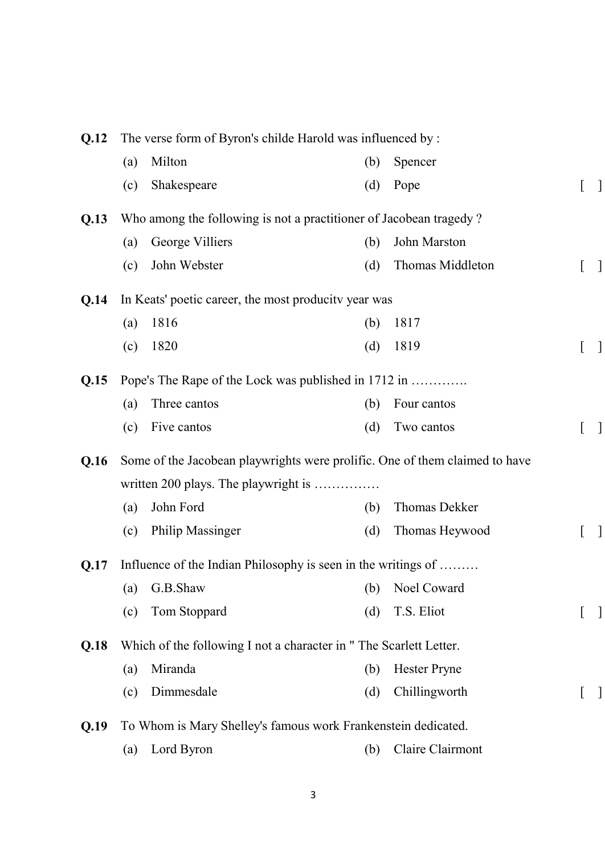| The verse form of Byron's childe Harold was influenced by :<br>0.12 |     |                                                                             |     |                     |  |
|---------------------------------------------------------------------|-----|-----------------------------------------------------------------------------|-----|---------------------|--|
|                                                                     | (a) | Milton                                                                      | (b) | Spencer             |  |
|                                                                     | (c) | Shakespeare                                                                 | (d) | Pope                |  |
| Q.13                                                                |     | Who among the following is not a practitioner of Jacobean tragedy?          |     |                     |  |
|                                                                     | (a) | George Villiers                                                             | (b) | John Marston        |  |
|                                                                     | (c) | John Webster                                                                | (d) | Thomas Middleton    |  |
| Q.14                                                                |     | In Keats' poetic career, the most producity year was                        |     |                     |  |
|                                                                     | (a) | 1816                                                                        | (b) | 1817                |  |
|                                                                     | (c) | 1820                                                                        | (d) | 1819                |  |
| Q.15                                                                |     | Pope's The Rape of the Lock was published in 1712 in                        |     |                     |  |
|                                                                     | (a) | Three cantos                                                                | (b) | Four cantos         |  |
|                                                                     | (c) | Five cantos                                                                 | (d) | Two cantos          |  |
| Q.16                                                                |     | Some of the Jacobean playwrights were prolific. One of them claimed to have |     |                     |  |
|                                                                     |     | written 200 plays. The playwright is                                        |     |                     |  |
|                                                                     | (a) | John Ford                                                                   | (b) | Thomas Dekker       |  |
|                                                                     | (c) | <b>Philip Massinger</b>                                                     | (d) | Thomas Heywood      |  |
| Q.17                                                                |     | Influence of the Indian Philosophy is seen in the writings of               |     |                     |  |
|                                                                     |     | (a) G.B.Shaw (b) Noel Coward                                                |     |                     |  |
|                                                                     | (c) | Tom Stoppard                                                                | (d) | T.S. Eliot          |  |
| Q.18                                                                |     | Which of the following I not a character in "The Scarlett Letter.           |     |                     |  |
|                                                                     | (a) | Miranda                                                                     | (b) | <b>Hester Pryne</b> |  |
|                                                                     | (c) | Dimmesdale                                                                  | (d) | Chillingworth       |  |
| Q.19                                                                |     | To Whom is Mary Shelley's famous work Frankenstein dedicated.               |     |                     |  |
|                                                                     | (a) | Lord Byron                                                                  | (b) | Claire Clairmont    |  |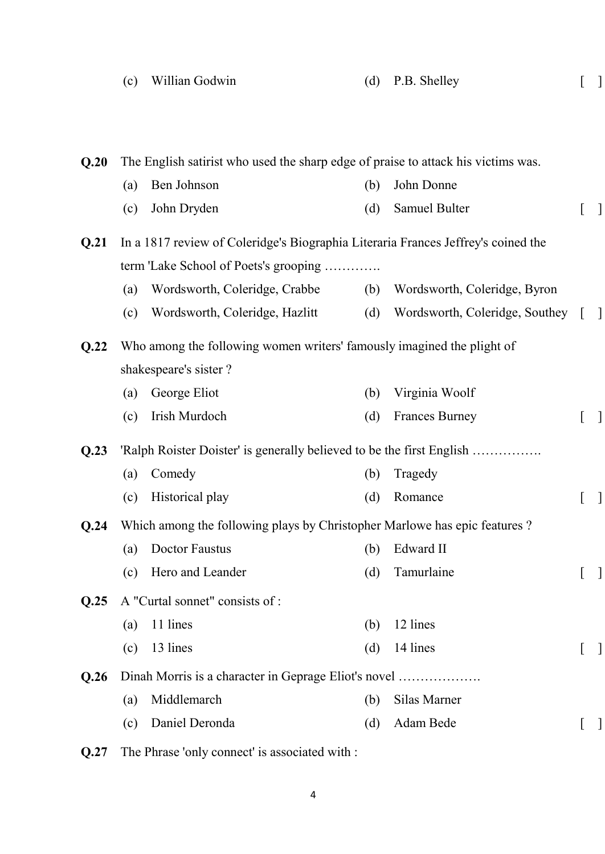|      | (c) | Willian Godwin                                                                    | (d) | P.B. Shelley                   |              |
|------|-----|-----------------------------------------------------------------------------------|-----|--------------------------------|--------------|
|      |     |                                                                                   |     |                                |              |
| Q.20 |     | The English satirist who used the sharp edge of praise to attack his victims was. |     |                                |              |
|      | (a) | Ben Johnson                                                                       | (b) | John Donne                     |              |
|      | (c) | John Dryden                                                                       | (d) | Samuel Bulter                  |              |
| Q.21 |     | In a 1817 review of Coleridge's Biographia Literaria Frances Jeffrey's coined the |     |                                |              |
|      |     | term 'Lake School of Poets's grooping                                             |     |                                |              |
|      | (a) | Wordsworth, Coleridge, Crabbe                                                     | (b) | Wordsworth, Coleridge, Byron   |              |
|      | (c) | Wordsworth, Coleridge, Hazlitt                                                    | (d) | Wordsworth, Coleridge, Southey | $\mathbf{I}$ |
| Q.22 |     | Who among the following women writers' famously imagined the plight of            |     |                                |              |
|      |     | shakespeare's sister?                                                             |     |                                |              |
|      | (a) | George Eliot                                                                      | (b) | Virginia Woolf                 |              |
|      | (c) | Irish Murdoch                                                                     | (d) | <b>Frances Burney</b>          |              |
| Q.23 |     | 'Ralph Roister Doister' is generally believed to be the first English             |     |                                |              |
|      | (a) | Comedy                                                                            | (b) | Tragedy                        |              |
|      | (c) | Historical play                                                                   | (d) | Romance                        |              |
| Q.24 |     | Which among the following plays by Christopher Marlowe has epic features?         |     |                                |              |
|      | (a) | <b>Doctor Faustus</b>                                                             | (b) | Edward II                      |              |
|      | (c) | Hero and Leander                                                                  | (d) | Tamurlaine                     | $\mathbf{I}$ |
| Q.25 |     | A "Curtal sonnet" consists of :                                                   |     |                                |              |
|      | (a) | 11 lines                                                                          | (b) | 12 lines                       |              |
|      | (c) | 13 lines                                                                          | (d) | 14 lines                       |              |
| Q.26 |     | Dinah Morris is a character in Geprage Eliot's novel                              |     |                                |              |
|      | (a) | Middlemarch                                                                       | (b) | Silas Marner                   |              |
|      | (c) | Daniel Deronda                                                                    | (d) | Adam Bede                      |              |
|      |     |                                                                                   |     |                                |              |

**Q.27** The Phrase 'only connect' is associated with :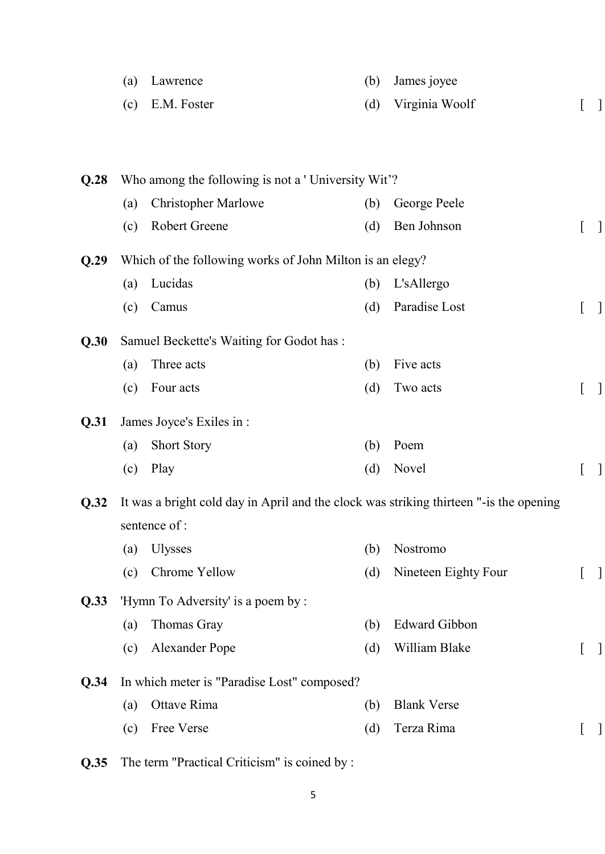|      | (a)        | Lawrence                                                                               | (b)        | James joyee                 |                          |
|------|------------|----------------------------------------------------------------------------------------|------------|-----------------------------|--------------------------|
|      | (c)        | E.M. Foster                                                                            | (d)        | Virginia Woolf              | $\mathbf{I}$             |
|      |            |                                                                                        |            |                             |                          |
|      |            |                                                                                        |            |                             |                          |
| Q.28 |            | Who among the following is not a 'University Wit'?                                     |            |                             |                          |
|      | (a)<br>(c) | <b>Christopher Marlowe</b><br>Robert Greene                                            | (b)<br>(d) | George Peele<br>Ben Johnson | $\overline{\phantom{a}}$ |
| Q.29 |            | Which of the following works of John Milton is an elegy?                               |            |                             |                          |
|      | (a)        | Lucidas                                                                                | (b)        | L'sAllergo                  |                          |
|      | (c)        | Camus                                                                                  | (d)        | Paradise Lost               | $\mathbf{I}$             |
| Q.30 |            | Samuel Beckette's Waiting for Godot has :                                              |            |                             |                          |
|      | (a)        | Three acts                                                                             | (b)        | Five acts                   |                          |
|      | (c)        | Four acts                                                                              | (d)        | Two acts                    | $\mathbf{I}$             |
| Q.31 |            | James Joyce's Exiles in :                                                              |            |                             |                          |
|      | (a)        | <b>Short Story</b>                                                                     | (b)        | Poem                        |                          |
|      | (c)        | Play                                                                                   | (d)        | Novel                       | $\Box$                   |
| Q.32 |            | It was a bright cold day in April and the clock was striking thirteen "-is the opening |            |                             |                          |
|      |            | sentence of :                                                                          |            |                             |                          |
|      | (a)        | <b>Ulysses</b>                                                                         | (b)        | Nostromo                    |                          |
|      | (c)        | Chrome Yellow                                                                          | (d)        | Nineteen Eighty Four        | $\mathbf{I}$             |
| Q.33 |            | 'Hymn To Adversity' is a poem by :                                                     |            |                             |                          |
|      | (a)        | Thomas Gray                                                                            | (b)        | <b>Edward Gibbon</b>        |                          |
|      | (c)        | <b>Alexander Pope</b>                                                                  | (d)        | William Blake               | $\mathbf{I}$             |
| Q.34 |            | In which meter is "Paradise Lost" composed?                                            |            |                             |                          |
|      | (a)        | Ottave Rima                                                                            | (b)        | <b>Blank Verse</b>          |                          |
|      | (c)        | Free Verse                                                                             | (d)        | Terza Rima                  | $\overline{\phantom{a}}$ |
|      |            |                                                                                        |            |                             |                          |

**Q.35** The term "Practical Criticism" is coined by :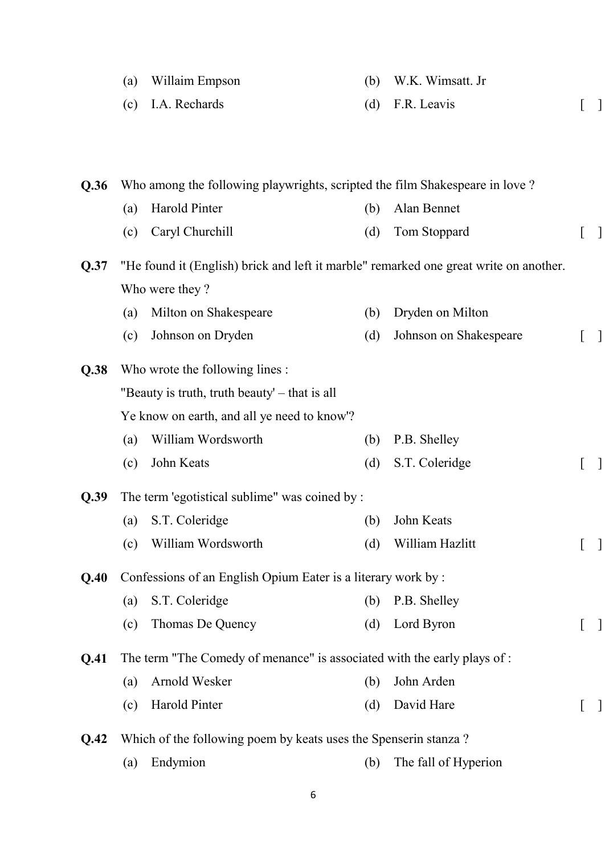|      | (a) | Willaim Empson                                                                        | (b) | W.K. Wimsatt. Jr       |  |
|------|-----|---------------------------------------------------------------------------------------|-----|------------------------|--|
|      | (c) | I.A. Rechards                                                                         | (d) | F.R. Leavis            |  |
|      |     |                                                                                       |     |                        |  |
|      |     |                                                                                       |     |                        |  |
| Q.36 |     | Who among the following playwrights, scripted the film Shakespeare in love?           |     |                        |  |
|      | (a) | Harold Pinter                                                                         | (b) | Alan Bennet            |  |
|      | (c) | Caryl Churchill                                                                       | (d) | Tom Stoppard           |  |
| Q.37 |     | "He found it (English) brick and left it marble" remarked one great write on another. |     |                        |  |
|      |     | Who were they?                                                                        |     |                        |  |
|      | (a) | Milton on Shakespeare                                                                 | (b) | Dryden on Milton       |  |
|      | (c) | Johnson on Dryden                                                                     | (d) | Johnson on Shakespeare |  |
| Q.38 |     | Who wrote the following lines :                                                       |     |                        |  |
|      |     | "Beauty is truth, truth beauty' – that is all                                         |     |                        |  |
|      |     | Ye know on earth, and all ye need to know'?                                           |     |                        |  |
|      | (a) | William Wordsworth                                                                    | (b) | P.B. Shelley           |  |
|      | (c) | John Keats                                                                            | (d) | S.T. Coleridge         |  |
| Q.39 |     | The term 'egotistical sublime" was coined by :                                        |     |                        |  |
|      | (a) | S.T. Coleridge                                                                        | (b) | John Keats             |  |
|      | (c) | William Wordsworth                                                                    | (d) | William Hazlitt        |  |
|      |     |                                                                                       |     |                        |  |
|      |     |                                                                                       |     |                        |  |

**Q.40** Confessions of an English Opium Eater is a literary work by :

(a) S.T. Coleridge (b) P.B. Shelley (c) Thomas De Quency (d) Lord Byron [ ]

**Q.41** The term "The Comedy of menance" is associated with the early plays of :

| (a) Arnold Wesker | (b) John Arden |  |
|-------------------|----------------|--|
| (c) Harold Pinter | (d) David Hare |  |

**Q.42** Which of the following poem by keats uses the Spenserin stanza ?

(a) Endymion (b) The fall of Hyperion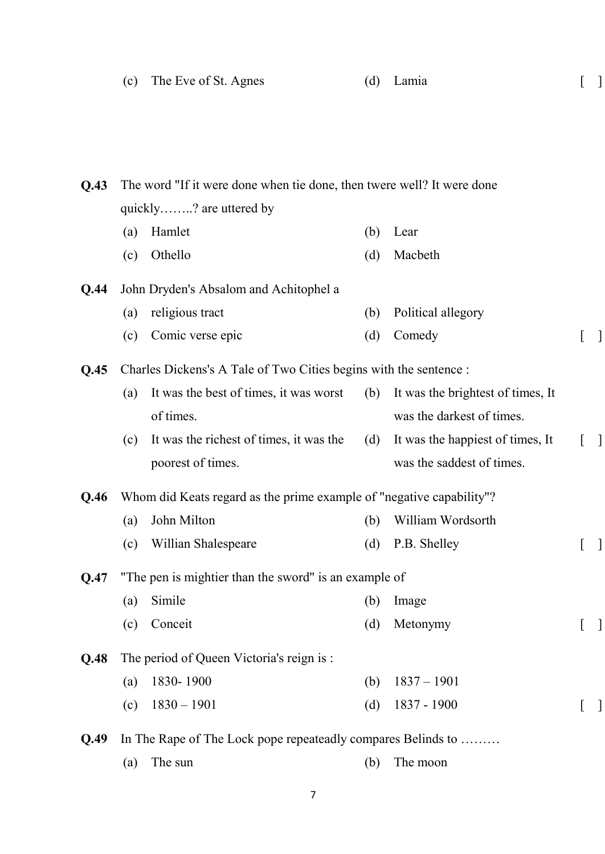| (c) The Eve of St. Agnes | (d) Lamia |  |
|--------------------------|-----------|--|
|                          |           |  |

## **Q.43** The word "If it were done when tie done, then twere well? It were done quickly……..? are uttered by

- (a) Hamlet (b) Lear
- (c) Othello (d) Macbeth

### **Q.44** John Dryden's Absalom and Achitophel a

poorest of times.

(a) religious tract (b) Political allegory (c) Comic verse epic (d) Comedy [ ]

**Q.45** Charles Dickens's A Tale of Two Cities begins with the sentence :

| (a) | It was the best of times, it was worst  | (b) It was the brightest of times, It |  |
|-----|-----------------------------------------|---------------------------------------|--|
|     | of times.                               | was the darkest of times.             |  |
| (c) | It was the richest of times, it was the | (d) It was the happiest of times, It  |  |

was the saddest of times.

#### **Q.46** Whom did Keats regard as the prime example of "negative capability"?

| (a) John Milton         | (b) William Wordsorth |  |
|-------------------------|-----------------------|--|
| (c) Willian Shalespeare | $(d)$ P.B. Shelley    |  |

### **Q.47** "The pen is mightier than the sword" is an example of

| (a) Simile  | (b) Image    |                 |
|-------------|--------------|-----------------|
| (c) Conceit | (d) Metonymy | $\lceil \rceil$ |

### **Q.48** The period of Queen Victoria's reign is :

- (a) 1830- 1900 (b) 1837 1901
- (c)  $1830 1901$  (d)  $1837 1900$  [ ]

**Q.49** In The Rape of The Lock pope repeateadly compares Belinds to ………

(a) The sun (b) The moon